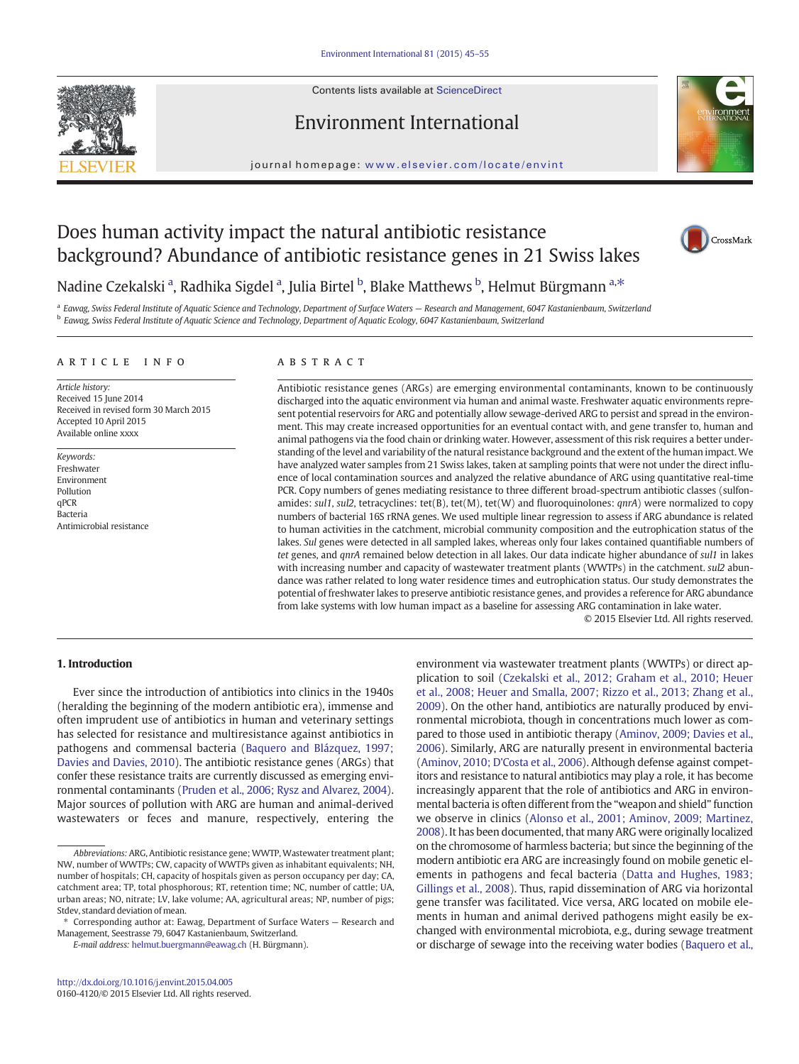Contents lists available at ScienceDirect

## Environment International



journal homepage: <www.elsevier.com/locate/envint>

## Does human activity impact the natural antibiotic resistance background? Abundance of antibiotic resistance genes in 21 Swiss lakes



## Nadine Czekalski <sup>a</sup>, Radhika Sigdel <sup>a</sup>, Julia Birtel <sup>b</sup>, Blake Matthews <sup>b</sup>, Helmut Bürgmann <sup>a,\*</sup>

a Eawag, Swiss Federal Institute of Aquatic Science and Technology, Department of Surface Waters - Research and Management, 6047 Kastanienbaum, Switzerland <sup>b</sup> Eawag, Swiss Federal Institute of Aquatic Science and Technology, Department of Aquatic Ecology, 6047 Kastanienbaum, Switzerland

#### article info abstract

Article history: Received 15 June 2014 Received in revised form 30 March 2015 Accepted 10 April 2015 Available online xxxx

Keywords: Freshwater Environment Pollution qPCR Bacteria Antimicrobial resistance

Antibiotic resistance genes (ARGs) are emerging environmental contaminants, known to be continuously discharged into the aquatic environment via human and animal waste. Freshwater aquatic environments represent potential reservoirs for ARG and potentially allow sewage-derived ARG to persist and spread in the environment. This may create increased opportunities for an eventual contact with, and gene transfer to, human and animal pathogens via the food chain or drinking water. However, assessment of this risk requires a better understanding of the level and variability of the natural resistance background and the extent of the human impact. We have analyzed water samples from 21 Swiss lakes, taken at sampling points that were not under the direct influence of local contamination sources and analyzed the relative abundance of ARG using quantitative real-time PCR. Copy numbers of genes mediating resistance to three different broad-spectrum antibiotic classes (sulfonamides: sul1, sul2, tetracyclines: tet(B), tet(M), tet(W) and fluoroquinolones:  $qnrA$ ) were normalized to copy numbers of bacterial 16S rRNA genes. We used multiple linear regression to assess if ARG abundance is related to human activities in the catchment, microbial community composition and the eutrophication status of the lakes. Sul genes were detected in all sampled lakes, whereas only four lakes contained quantifiable numbers of tet genes, and qnrA remained below detection in all lakes. Our data indicate higher abundance of sul1 in lakes with increasing number and capacity of wastewater treatment plants (WWTPs) in the catchment. sul2 abundance was rather related to long water residence times and eutrophication status. Our study demonstrates the potential of freshwater lakes to preserve antibiotic resistance genes, and provides a reference for ARG abundance from lake systems with low human impact as a baseline for assessing ARG contamination in lake water.

© 2015 Elsevier Ltd. All rights reserved.

### 1. Introduction

Ever since the introduction of antibiotics into clinics in the 1940s (heralding the beginning of the modern antibiotic era), immense and often imprudent use of antibiotics in human and veterinary settings has selected for resistance and multiresistance against antibiotics in pathogens and commensal bacteria [\(Baquero and Blázquez, 1997;](#page--1-0) [Davies and Davies, 2010](#page--1-0)). The antibiotic resistance genes (ARGs) that confer these resistance traits are currently discussed as emerging environmental contaminants ([Pruden et al., 2006; Rysz and Alvarez, 2004](#page--1-0)). Major sources of pollution with ARG are human and animal-derived wastewaters or feces and manure, respectively, entering the environment via wastewater treatment plants (WWTPs) or direct application to soil [\(Czekalski et al., 2012; Graham et al., 2010; Heuer](#page--1-0) [et al., 2008; Heuer and Smalla, 2007; Rizzo et al., 2013; Zhang et al.,](#page--1-0) [2009\)](#page--1-0). On the other hand, antibiotics are naturally produced by environmental microbiota, though in concentrations much lower as compared to those used in antibiotic therapy [\(Aminov, 2009; Davies et al.,](#page--1-0) [2006\)](#page--1-0). Similarly, ARG are naturally present in environmental bacteria [\(Aminov, 2010; D'Costa et al., 2006\)](#page--1-0). Although defense against competitors and resistance to natural antibiotics may play a role, it has become increasingly apparent that the role of antibiotics and ARG in environmental bacteria is often different from the "weapon and shield" function we observe in clinics ([Alonso et al., 2001; Aminov, 2009; Martinez,](#page--1-0) [2008](#page--1-0)). It has been documented, that many ARG were originally localized on the chromosome of harmless bacteria; but since the beginning of the modern antibiotic era ARG are increasingly found on mobile genetic elements in pathogens and fecal bacteria [\(Datta and Hughes, 1983;](#page--1-0) [Gillings et al., 2008](#page--1-0)). Thus, rapid dissemination of ARG via horizontal gene transfer was facilitated. Vice versa, ARG located on mobile elements in human and animal derived pathogens might easily be exchanged with environmental microbiota, e.g., during sewage treatment or discharge of sewage into the receiving water bodies [\(Baquero et al.,](#page--1-0)

Abbreviations: ARG, Antibiotic resistance gene; WWTP, Wastewater treatment plant; NW, number of WWTPs; CW, capacity of WWTPs given as inhabitant equivalents; NH, number of hospitals; CH, capacity of hospitals given as person occupancy per day; CA, catchment area; TP, total phosphorous; RT, retention time; NC, number of cattle; UA, urban areas; NO, nitrate; LV, lake volume; AA, agricultural areas; NP, number of pigs; Stdev, standard deviation of mean.

Corresponding author at: Eawag, Department of Surface Waters - Research and Management, Seestrasse 79, 6047 Kastanienbaum, Switzerland.

E-mail address: [helmut.buergmann@eawag.ch](mailto:helmut.buergmann@eawag.ch) (H. Bürgmann).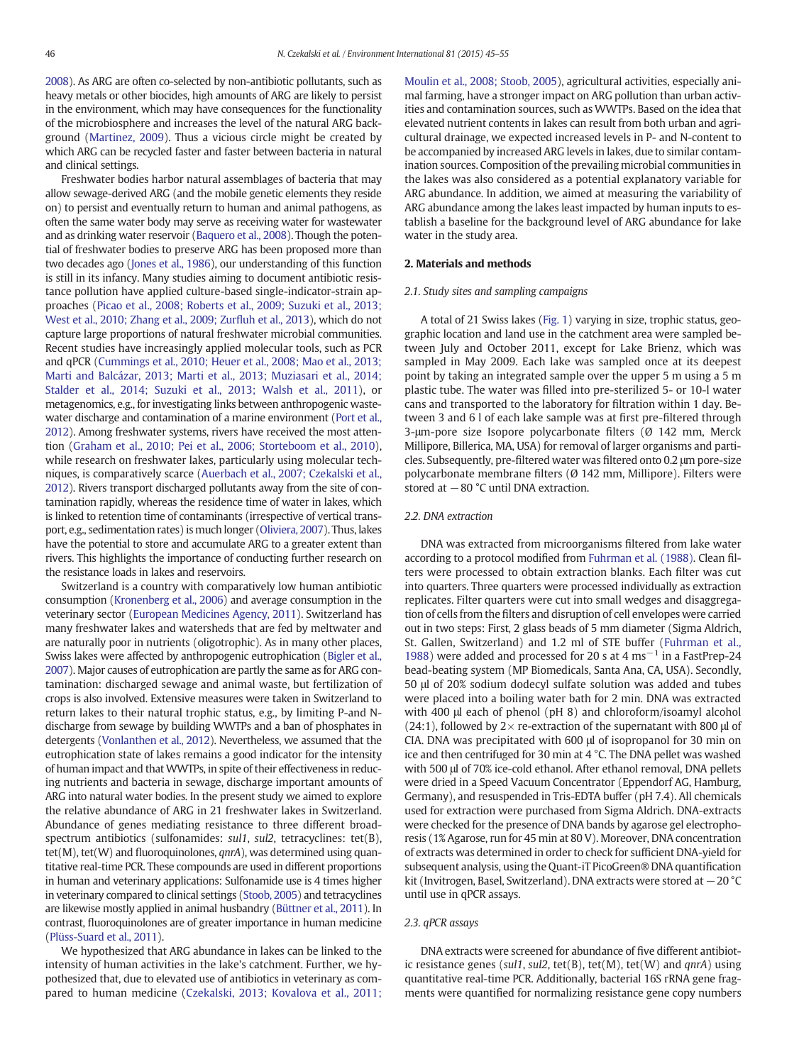[2008](#page--1-0)). As ARG are often co-selected by non-antibiotic pollutants, such as heavy metals or other biocides, high amounts of ARG are likely to persist in the environment, which may have consequences for the functionality of the microbiosphere and increases the level of the natural ARG background ([Martinez, 2009](#page--1-0)). Thus a vicious circle might be created by which ARG can be recycled faster and faster between bacteria in natural and clinical settings.

Freshwater bodies harbor natural assemblages of bacteria that may allow sewage-derived ARG (and the mobile genetic elements they reside on) to persist and eventually return to human and animal pathogens, as often the same water body may serve as receiving water for wastewater and as drinking water reservoir [\(Baquero et al., 2008\)](#page--1-0). Though the potential of freshwater bodies to preserve ARG has been proposed more than two decades ago ([Jones et al., 1986\)](#page--1-0), our understanding of this function is still in its infancy. Many studies aiming to document antibiotic resistance pollution have applied culture-based single-indicator-strain approaches [\(Picao et al., 2008; Roberts et al., 2009; Suzuki et al., 2013;](#page--1-0) [West et al., 2010; Zhang et al., 2009; Zur](#page--1-0)fluh et al., 2013), which do not capture large proportions of natural freshwater microbial communities. Recent studies have increasingly applied molecular tools, such as PCR and qPCR [\(Cummings et al., 2010; Heuer et al., 2008; Mao et al., 2013;](#page--1-0) [Marti and Balcázar, 2013; Marti et al., 2013; Muziasari et al., 2014;](#page--1-0) [Stalder et al., 2014; Suzuki et al., 2013; Walsh et al., 2011](#page--1-0)), or metagenomics, e.g., for investigating links between anthropogenic wastewater discharge and contamination of a marine environment [\(Port et al.,](#page--1-0) [2012](#page--1-0)). Among freshwater systems, rivers have received the most attention ([Graham et al., 2010; Pei et al., 2006; Storteboom et al., 2010](#page--1-0)), while research on freshwater lakes, particularly using molecular techniques, is comparatively scarce [\(Auerbach et al., 2007; Czekalski et al.,](#page--1-0) [2012](#page--1-0)). Rivers transport discharged pollutants away from the site of contamination rapidly, whereas the residence time of water in lakes, which is linked to retention time of contaminants (irrespective of vertical transport, e.g., sedimentation rates) is much longer ([Oliviera, 2007](#page--1-0)). Thus, lakes have the potential to store and accumulate ARG to a greater extent than rivers. This highlights the importance of conducting further research on the resistance loads in lakes and reservoirs.

Switzerland is a country with comparatively low human antibiotic consumption [\(Kronenberg et al., 2006](#page--1-0)) and average consumption in the veterinary sector [\(European Medicines Agency, 2011\)](#page--1-0). Switzerland has many freshwater lakes and watersheds that are fed by meltwater and are naturally poor in nutrients (oligotrophic). As in many other places, Swiss lakes were affected by anthropogenic eutrophication [\(Bigler et al.,](#page--1-0) [2007](#page--1-0)). Major causes of eutrophication are partly the same as for ARG contamination: discharged sewage and animal waste, but fertilization of crops is also involved. Extensive measures were taken in Switzerland to return lakes to their natural trophic status, e.g., by limiting P-and Ndischarge from sewage by building WWTPs and a ban of phosphates in detergents [\(Vonlanthen et al., 2012](#page--1-0)). Nevertheless, we assumed that the eutrophication state of lakes remains a good indicator for the intensity of human impact and that WWTPs, in spite of their effectiveness in reducing nutrients and bacteria in sewage, discharge important amounts of ARG into natural water bodies. In the present study we aimed to explore the relative abundance of ARG in 21 freshwater lakes in Switzerland. Abundance of genes mediating resistance to three different broadspectrum antibiotics (sulfonamides: sul1, sul2, tetracyclines: tet(B),  $tet(M)$ , tet(W) and fluoroquinolones,  $qnrA$ ), was determined using quantitative real-time PCR. These compounds are used in different proportions in human and veterinary applications: Sulfonamide use is 4 times higher in veterinary compared to clinical settings [\(Stoob, 2005\)](#page--1-0) and tetracyclines are likewise mostly applied in animal husbandry [\(Büttner et al., 2011\)](#page--1-0). In contrast, fluoroquinolones are of greater importance in human medicine [\(Plüss-Suard et al., 2011](#page--1-0)).

We hypothesized that ARG abundance in lakes can be linked to the intensity of human activities in the lake's catchment. Further, we hypothesized that, due to elevated use of antibiotics in veterinary as compared to human medicine ([Czekalski, 2013; Kovalova et al., 2011;](#page--1-0) [Moulin et al., 2008; Stoob, 2005](#page--1-0)), agricultural activities, especially animal farming, have a stronger impact on ARG pollution than urban activities and contamination sources, such as WWTPs. Based on the idea that elevated nutrient contents in lakes can result from both urban and agricultural drainage, we expected increased levels in P- and N-content to be accompanied by increased ARG levels in lakes, due to similar contamination sources. Composition of the prevailing microbial communities in the lakes was also considered as a potential explanatory variable for ARG abundance. In addition, we aimed at measuring the variability of ARG abundance among the lakes least impacted by human inputs to establish a baseline for the background level of ARG abundance for lake water in the study area.

#### 2. Materials and methods

#### 2.1. Study sites and sampling campaigns

A total of 21 Swiss lakes ([Fig. 1](#page--1-0)) varying in size, trophic status, geographic location and land use in the catchment area were sampled between July and October 2011, except for Lake Brienz, which was sampled in May 2009. Each lake was sampled once at its deepest point by taking an integrated sample over the upper 5 m using a 5 m plastic tube. The water was filled into pre-sterilized 5- or 10-l water cans and transported to the laboratory for filtration within 1 day. Between 3 and 6 l of each lake sample was at first pre-filtered through 3-μm-pore size Isopore polycarbonate filters (Ø 142 mm, Merck Millipore, Billerica, MA, USA) for removal of larger organisms and particles. Subsequently, pre-filtered water was filtered onto 0.2 μm pore-size polycarbonate membrane filters (Ø 142 mm, Millipore). Filters were stored at −80 °C until DNA extraction.

#### 2.2. DNA extraction

DNA was extracted from microorganisms filtered from lake water according to a protocol modified from [Fuhrman et al. \(1988\).](#page--1-0) Clean filters were processed to obtain extraction blanks. Each filter was cut into quarters. Three quarters were processed individually as extraction replicates. Filter quarters were cut into small wedges and disaggregation of cells from the filters and disruption of cell envelopes were carried out in two steps: First, 2 glass beads of 5 mm diameter (Sigma Aldrich, St. Gallen, Switzerland) and 1.2 ml of STE buffer [\(Fuhrman et al.,](#page--1-0) [1988](#page--1-0)) were added and processed for 20 s at 4 ms−<sup>1</sup> in a FastPrep-24 bead-beating system (MP Biomedicals, Santa Ana, CA, USA). Secondly, 50 μl of 20% sodium dodecyl sulfate solution was added and tubes were placed into a boiling water bath for 2 min. DNA was extracted with 400 μl each of phenol (pH 8) and chloroform/isoamyl alcohol (24:1), followed by  $2 \times$  re-extraction of the supernatant with 800  $\mu$ l of CIA. DNA was precipitated with 600 μl of isopropanol for 30 min on ice and then centrifuged for 30 min at 4 °C. The DNA pellet was washed with 500 μl of 70% ice-cold ethanol. After ethanol removal, DNA pellets were dried in a Speed Vacuum Concentrator (Eppendorf AG, Hamburg, Germany), and resuspended in Tris-EDTA buffer (pH 7.4). All chemicals used for extraction were purchased from Sigma Aldrich. DNA-extracts were checked for the presence of DNA bands by agarose gel electrophoresis (1% Agarose, run for 45 min at 80 V). Moreover, DNA concentration of extracts was determined in order to check for sufficient DNA-yield for subsequent analysis, using the Quant-iT PicoGreen® DNA quantification kit (Invitrogen, Basel, Switzerland). DNA extracts were stored at −20 °C until use in qPCR assays.

#### 2.3. qPCR assays

DNA extracts were screened for abundance of five different antibiotic resistance genes (sul1, sul2, tet(B), tet(M), tet(W) and  $qnrA$ ) using quantitative real-time PCR. Additionally, bacterial 16S rRNA gene fragments were quantified for normalizing resistance gene copy numbers